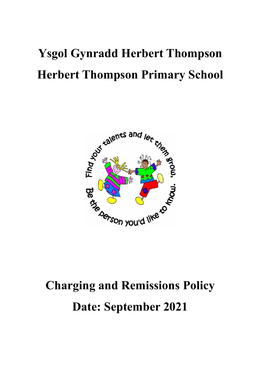# **Ysgol Gynradd Herbert Thompson Herbert Thompson Primary School**



# **Charging and Remissions Policy Date: September 2021**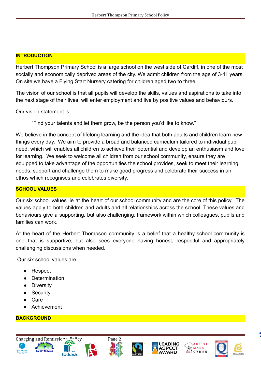#### **INTRODUCTION**

Herbert Thompson Primary School is a large school on the west side of Cardiff, in one of the most socially and economically deprived areas of the city. We admit children from the age of 3-11 years. On site we have a Flying Start Nursery catering for children aged two to three.

The vision of our school is that all pupils will develop the skills, values and aspirations to take into the next stage of their lives, will enter employment and live by positive values and behaviours.

Our vision statement is:

"Find your talents and let them grow, be the person you'd like to know."

We believe in the concept of lifelong learning and the idea that both adults and children learn new things every day. We aim to provide a broad and balanced curriculum tailored to individual pupil need, which will enables all children to achieve their potential and develop an enthusiasm and love for learning. We seek to welcome all children from our school community, ensure they are equipped to take advantage of the opportunities the school provides, seek to meet their learning needs, support and challenge them to make good progress and celebrate their success in an ethos which recognises and celebrates diversity.

#### **SCHOOL VALUES**

Our six school values lie at the heart of our school community and are the core of this policy. The values apply to both children and adults and all relationships across the school. These values and behaviours give a supporting, but also challenging, framework within which colleagues, pupils and families can work.

At the heart of the Herbert Thompson community is a belief that a healthy school community is one that is supportive, but also sees everyone having honest, respectful and appropriately challenging discussions when needed.

Our six school values are:

- Respect
- Determination
- Diversity
- Security
- Care
- **Achievement**

#### **BACKGROUND**













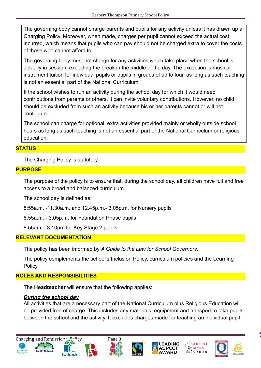The governing body cannot charge parents and pupils for any activity unless it has drawn up a Charging Policy. Moreover, when made, charges per pupil cannot exceed the actual cost incurred, which means that pupils who can pay should not be charged extra to cover the costs of those who cannot afford to.

The governing body must not charge for any activities which take place when the school is actually in session, excluding the break in the middle of the day. The exception is musical instrument tuition for individual pupils or pupils in groups of up to four, as long as such teaching is not an essential part of the National Curriculum.

If the school wishes to run an activity during the school day for which it would need contributions from parents or others, it can invite voluntary contributions. However, no child should be excluded from such an activity because his or her parents cannot or will not contribute.

The school can charge for optional, extra activities provided mainly or wholly outside school hours as long as such teaching is not an essential part of the National Curriculum or religious education.

#### **STATUS**

The Charging Policy is statutory.

#### **PURPOSE**

The purpose of the policy is to ensure that, during the school day, all children have full and free access to a broad and balanced curriculum.

The school day is defined as:

8:55a.m. -11.30a.m. and 12.45p.m.- 3.05p.m. for Nursery pupils

8:55a.m. - 3.05p.m. for Foundation Phase pupils

8:55am – 3:10pm for Key Stage 2 pupils

#### **RELEVANT DOCUMENTATION**

The policy has been informed by *A Guide to the Law for School Governors*.

The policy complements the school's Inclusion Policy, curriculum policies and the Learning Policy.

# **ROLES AND RESPONSIBILITIES**

The **Headteacher** will ensure that the following applies:

# *During the school day*

All activities that are a necessary part of the National Curriculum plus Religious Education will be provided free of charge. This includes any materials, equipment and transport to take pupils between the school and the activity. It excludes charges made for teaching an individual pupil













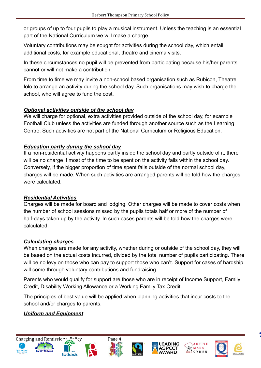or groups of up to four pupils to play a musical instrument. Unless the teaching is an essential part of the National Curriculum we will make a charge.

Voluntary contributions may be sought for activities during the school day, which entail additional costs, for example educational, theatre and cinema visits.

In these circumstances no pupil will be prevented from participating because his/her parents cannot or will not make a contribution.

From time to time we may invite a non-school based organisation such as Rubicon, Theatre Iolo to arrange an activity during the school day. Such organisations may wish to charge the school, who will agree to fund the cost.

# *Optional activities outside of the school day*

We will charge for optional, extra activities provided outside of the school day, for example Football Club unless the activities are funded through another source such as the Learning Centre. Such activities are not part of the National Curriculum or Religious Education.

# *Education partly during the school day*

If a non-residential activity happens partly inside the school day and partly outside of it, there will be no charge if most of the time to be spent on the activity falls within the school day. Conversely, if the bigger proportion of time spent falls outside of the normal school day, charges will be made. When such activities are arranged parents will be told how the charges were calculated.

# *Residential Activities*

Charges will be made for board and lodging. Other charges will be made to cover costs when the number of school sessions missed by the pupils totals half or more of the number of half-days taken up by the activity. In such cases parents will be told how the charges were calculated.

# *Calculating charges*

When charges are made for any activity, whether during or outside of the school day, they will be based on the actual costs incurred, divided by the total number of pupils participating. There will be no levy on those who can pay to support those who can't. Support for cases of hardship will come through voluntary contributions and fundraising.

Parents who would qualify for support are those who are in receipt of Income Support, Family Credit, Disability Working Allowance or a Working Family Tax Credit.

The principles of best value will be applied when planning activities that incur costs to the school and/or charges to parents.

# *Uniform and Equipment*















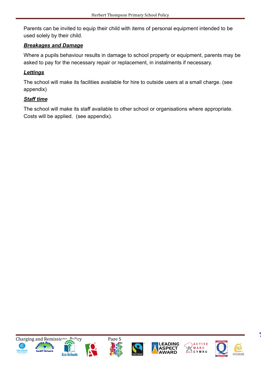Parents can be invited to equip their child with items of personal equipment intended to be used solely by their child.

#### *Breakages and Damage*

Where a pupils behaviour results in damage to school property or equipment, parents may be asked to pay for the necessary repair or replacement, in instalments if necessary.

# *Lettings*

The school will make its facilities available for hire to outside users at a small charge. (see appendix)

# *Staff time*

The school will make its staff available to other school or organisations where appropriate. Costs will be applied. (see appendix).













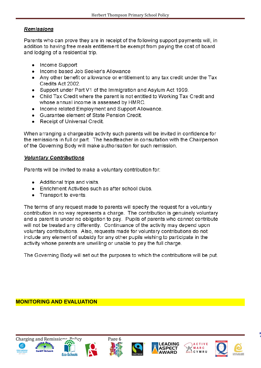#### **Remissions**

Parents who can prove they are in receipt of the following support payments will, in addition to having free meals entitlement be exempt from paying the cost of board and lodging of a residential trip.

- Income Support
- Income based Job Seeker's Allowance
- Any other benefit or allowance or entitlement to any tax credit under the Tax Credits Act 2002.
- Support under Part V1 of the Immigration and Asylum Act 1999.
- Child Tax Credit where the parent is not entitled to Working Tax Credit and whose annual income is assessed by HMRC.
- Income related Employment and Support Allowance.
- Guarantee element of State Pension Credit.
- Receipt of Universal Credit.

When arranging a chargeable activity such parents will be invited in confidence for the remissions in full or part. The headteacher in consultation with the Chairperson of the Governing Body will make authorisation for such remission.

#### **Voluntary Contributions**

Parents will be invited to make a voluntary contribution for:

- Additional trips and visits.
- Enrichment Activities such as after school clubs.
- Transport to events.

The terms of any request made to parents will specify the request for a voluntary contribution in no way represents a charge. The contribution is genuinely voluntary and a parent is under no obligation to pay. Pupils of parents who cannot contribute will not be treated any differently. Continuance of the activity may depend upon voluntary contributions. Also, requests made for voluntary contributions do not include any element of subsidy for any other pupils wishing to participate in the activity whose parents are unwilling or unable to pay the full charge.

The Governing Body will set out the purposes to which the contributions will be put.

**MONITORING AND EVALUATION**













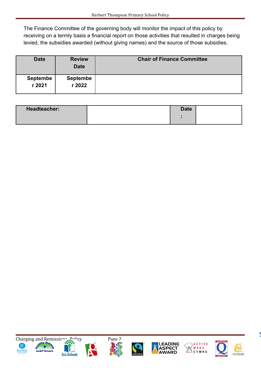The Finance Committee of the governing body will monitor the impact of this policy by receiving on a termly basis a financial report on those activities that resulted in charges being levied, the subsidies awarded (without giving names) and the source of those subsidies.

| <b>Date</b>               | <b>Review</b><br><b>Date</b> | <b>Chair of Finance Committee</b> |
|---------------------------|------------------------------|-----------------------------------|
| <b>Septembe</b><br>r 2021 | <b>Septembe</b><br>r 2022    |                                   |

| <b>Headteacher:</b> | <b>Date</b> |  |
|---------------------|-------------|--|
|                     |             |  |













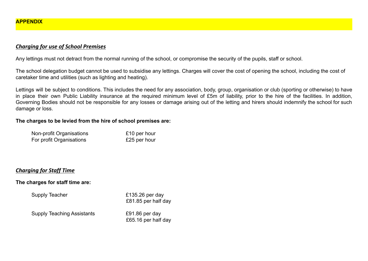#### *Charging for use of School Premises*

Any lettings must not detract from the normal running of the school, or compromise the security of the pupils, staff or school.

The school delegation budget cannot be used to subsidise any lettings. Charges will cover the cost of opening the school, including the cost of caretaker time and utilities (such as lighting and heating).

Lettings will be subject to conditions. This includes the need for any association, body, group, organisation or club (sporting or otherwise) to have in place their own Public Liability insurance at the required minimum level of £5m of liability, prior to the hire of the facilities. In addition, Governing Bodies should not be responsible for any losses or damage arising out of the letting and hirers should indemnify the school for such damage or loss.

#### **The charges to be levied from the hire of school premises are:**

| Non-profit Organisations | £10 per hour |
|--------------------------|--------------|
| For profit Organisations | £25 per hour |

# *Charging for Staff Time*

#### **The charges for staff time are:**

Supply Teacher **E135.26** per day

£81.85 per half day

Supply Teaching Assistants £91.86 per day

£65.16 per half day